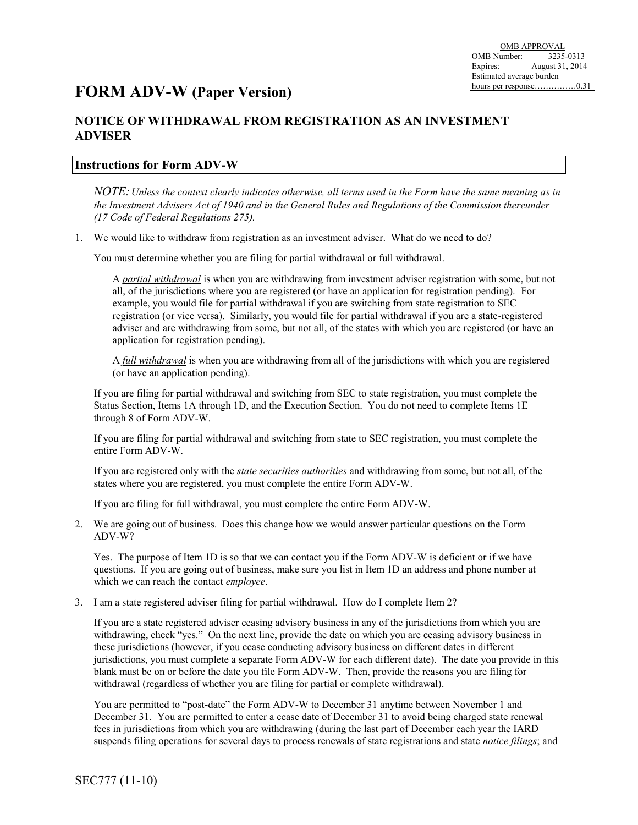## **FORM ADV-W (Paper Version)**

## **NOTICE OF WITHDRAWAL FROM REGISTRATION AS AN INVESTMENT ADVISER**

## **Instructions for Form ADV-W**

*NOTE: Unless the context clearly indicates otherwise, all terms used in the Form have the same meaning as in the Investment Advisers Act of 1940 and in the General Rules and Regulations of the Commission thereunder (17 Code of Federal Regulations 275).*

1. We would like to withdraw from registration as an investment adviser. What do we need to do?

You must determine whether you are filing for partial withdrawal or full withdrawal.

A *partial withdrawal* is when you are withdrawing from investment adviser registration with some, but not all, of the jurisdictions where you are registered (or have an application for registration pending). For example, you would file for partial withdrawal if you are switching from state registration to SEC registration (or vice versa). Similarly, you would file for partial withdrawal if you are a state-registered adviser and are withdrawing from some, but not all, of the states with which you are registered (or have an application for registration pending).

A *full withdrawal* is when you are withdrawing from all of the jurisdictions with which you are registered (or have an application pending).

If you are filing for partial withdrawal and switching from SEC to state registration, you must complete the Status Section, Items 1A through 1D, and the Execution Section. You do not need to complete Items 1E through 8 of Form ADV-W.

If you are filing for partial withdrawal and switching from state to SEC registration, you must complete the entire Form ADV-W.

If you are registered only with the *state securities authorities* and withdrawing from some, but not all, of the states where you are registered, you must complete the entire Form ADV-W.

If you are filing for full withdrawal, you must complete the entire Form ADV-W.

2. We are going out of business. Does this change how we would answer particular questions on the Form ADV-W?

Yes. The purpose of Item 1D is so that we can contact you if the Form ADV-W is deficient or if we have questions. If you are going out of business, make sure you list in Item 1D an address and phone number at which we can reach the contact *employee*.

3. I am a state registered adviser filing for partial withdrawal. How do I complete Item 2?

If you are a state registered adviser ceasing advisory business in any of the jurisdictions from which you are withdrawing, check "yes." On the next line, provide the date on which you are ceasing advisory business in these jurisdictions (however, if you cease conducting advisory business on different dates in different jurisdictions, you must complete a separate Form ADV-W for each different date). The date you provide in this blank must be on or before the date you file Form ADV-W. Then, provide the reasons you are filing for withdrawal (regardless of whether you are filing for partial or complete withdrawal).

You are permitted to "post-date" the Form ADV-W to December 31 anytime between November 1 and December 31. You are permitted to enter a cease date of December 31 to avoid being charged state renewal fees in jurisdictions from which you are withdrawing (during the last part of December each year the IARD suspends filing operations for several days to process renewals of state registrations and state *notice filings*; and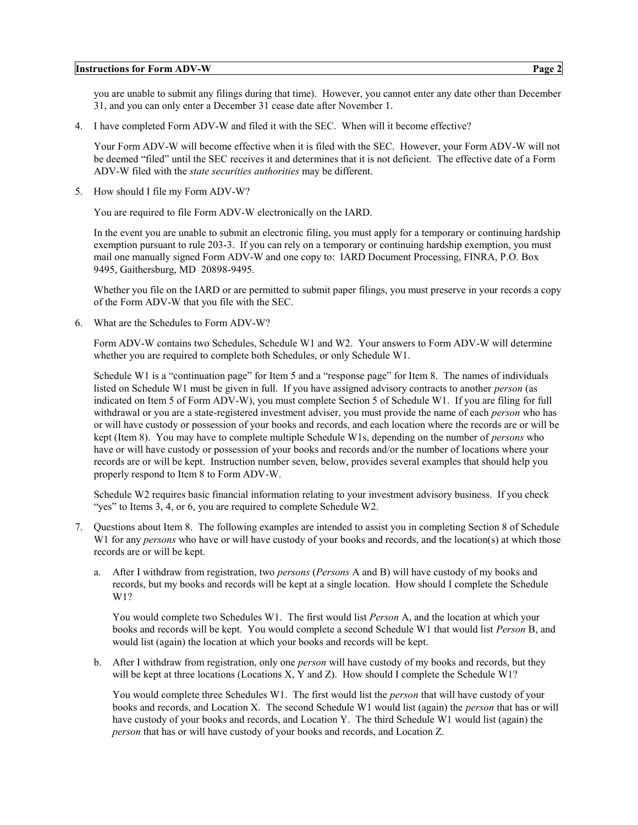#### **Instructions for Form ADV-W Page 2**

you are unable to submit any filings during that time). However, you cannot enter any date other than December 31, and you can only enter a December 31 cease date after November 1.

4. I have completed Form ADV-W and filed it with the SEC. When will it become effective?

Your Form ADV-W will become effective when it is filed with the SEC. However, your Form ADV-W will not be deemed "filed" until the SEC receives it and determines that it is not deficient. The effective date of a Form ADV-W filed with the *state securities authorities* may be different.

5. How should I file my Form ADV-W?

You are required to file Form ADV-W electronically on the IARD.

In the event you are unable to submit an electronic filing, you must apply for a temporary or continuing hardship exemption pursuant to rule 203-3. If you can rely on a temporary or continuing hardship exemption, you must mail one manually signed Form ADV-W and one copy to: IARD Document Processing, FINRA, P.O. Box 9495, Gaithersburg, MD 20898-9495.

Whether you file on the IARD or are permitted to submit paper filings, you must preserve in your records a copy of the Form ADV-W that you file with the SEC.

6. What are the Schedules to Form ADV-W?

Form ADV-W contains two Schedules, Schedule W1 and W2. Your answers to Form ADV-W will determine whether you are required to complete both Schedules, or only Schedule W1.

Schedule W1 is a "continuation page" for Item 5 and a "response page" for Item 8. The names of individuals listed on Schedule W1 must be given in full. If you have assigned advisory contracts to another *person* (as indicated on Item 5 of Form ADV-W), you must complete Section 5 of Schedule W1. If you are filing for full withdrawal or you are a state-registered investment adviser, you must provide the name of each *person* who has or will have custody or possession of your books and records, and each location where the records are or will be kept (Item 8). You may have to complete multiple Schedule W1s, depending on the number of *persons* who have or will have custody or possession of your books and records and/or the number of locations where your records are or will be kept. Instruction number seven, below, provides several examples that should help you properly respond to Item 8 to Form ADV-W.

Schedule W2 requires basic financial information relating to your investment advisory business. If you check "yes" to Items 3, 4, or 6, you are required to complete Schedule W2.

- 7. Questions about Item 8. The following examples are intended to assist you in completing Section 8 of Schedule W1 for any *persons* who have or will have custody of your books and records, and the location(s) at which those records are or will be kept.
	- a. After I withdraw from registration, two *persons* (*Persons* A and B) will have custody of my books and records, but my books and records will be kept at a single location. How should I complete the Schedule W1?

You would complete two Schedules W1. The first would list *Person* A, and the location at which your books and records will be kept. You would complete a second Schedule W1 that would list *Person* B, and would list (again) the location at which your books and records will be kept.

b. After I withdraw from registration, only one *person* will have custody of my books and records, but they will be kept at three locations (Locations X, Y and Z). How should I complete the Schedule W1?

You would complete three Schedules W1. The first would list the *person* that will have custody of your books and records, and Location X. The second Schedule W1 would list (again) the *person* that has or will have custody of your books and records, and Location Y. The third Schedule W1 would list (again) the *person* that has or will have custody of your books and records, and Location Z.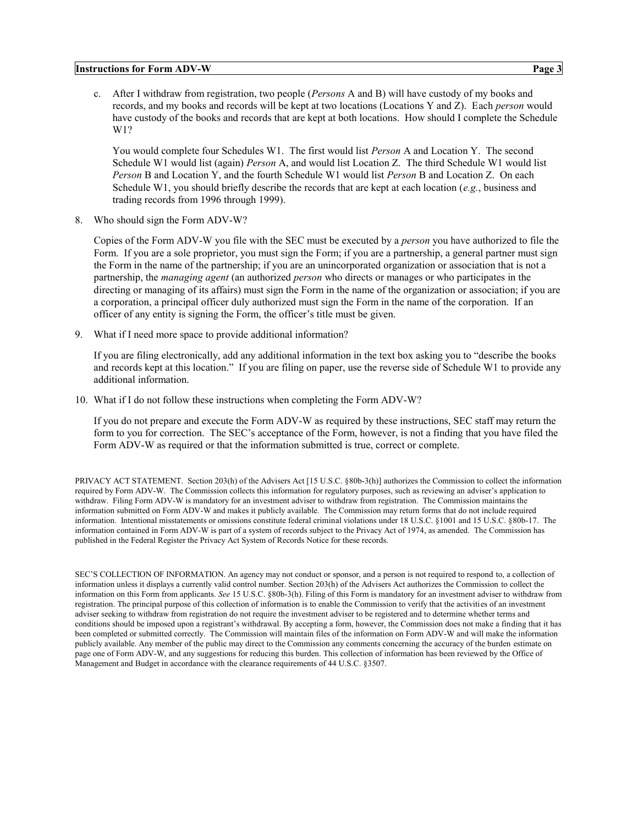#### **Instructions for Form ADV-W Page 3**

c. After I withdraw from registration, two people (*Persons* A and B) will have custody of my books and records, and my books and records will be kept at two locations (Locations Y and Z). Each *person* would have custody of the books and records that are kept at both locations. How should I complete the Schedule W1?

You would complete four Schedules W1. The first would list *Person* A and Location Y. The second Schedule W1 would list (again) *Person* A, and would list Location Z. The third Schedule W1 would list *Person* B and Location Y, and the fourth Schedule W1 would list *Person* B and Location Z. On each Schedule W1, you should briefly describe the records that are kept at each location (*e.g.*, business and trading records from 1996 through 1999).

8. Who should sign the Form ADV-W?

Copies of the Form ADV-W you file with the SEC must be executed by a *person* you have authorized to file the Form. If you are a sole proprietor, you must sign the Form; if you are a partnership, a general partner must sign the Form in the name of the partnership; if you are an unincorporated organization or association that is not a partnership, the *managing agent* (an authorized *person* who directs or manages or who participates in the directing or managing of its affairs) must sign the Form in the name of the organization or association; if you are a corporation, a principal officer duly authorized must sign the Form in the name of the corporation. If an officer of any entity is signing the Form, the officer's title must be given.

9. What if I need more space to provide additional information?

If you are filing electronically, add any additional information in the text box asking you to "describe the books and records kept at this location." If you are filing on paper, use the reverse side of Schedule W1 to provide any additional information.

10. What if I do not follow these instructions when completing the Form ADV-W?

If you do not prepare and execute the Form ADV-W as required by these instructions, SEC staff may return the form to you for correction. The SEC's acceptance of the Form, however, is not a finding that you have filed the Form ADV-W as required or that the information submitted is true, correct or complete.

PRIVACY ACT STATEMENT. Section 203(h) of the Advisers Act [15 U.S.C. §80b-3(h)] authorizes the Commission to collect the information required by Form ADV-W. The Commission collects this information for regulatory purposes, such as reviewing an adviser's application to withdraw. Filing Form ADV-W is mandatory for an investment adviser to withdraw from registration. The Commission maintains the information submitted on Form ADV-W and makes it publicly available. The Commission may return forms that do not include required information. Intentional misstatements or omissions constitute federal criminal violations under 18 U.S.C. §1001 and 15 U.S.C. §80b-17. The information contained in Form ADV-W is part of a system of records subject to the Privacy Act of 1974, as amended. The Commission has published in the Federal Register the Privacy Act System of Records Notice for these records.

SEC'S COLLECTION OF INFORMATION. An agency may not conduct or sponsor, and a person is not required to respond to, a collection of information unless it displays a currently valid control number. Section 203(h) of the Advisers Act authorizes the Commission to collect the information on this Form from applicants. *See* 15 U.S.C. §80b-3(h). Filing of this Form is mandatory for an investment adviser to withdraw from registration. The principal purpose of this collection of information is to enable the Commission to verify that the activities of an investment adviser seeking to withdraw from registration do not require the investment adviser to be registered and to determine whether terms and conditions should be imposed upon a registrant's withdrawal. By accepting a form, however, the Commission does not make a finding that it has been completed or submitted correctly. The Commission will maintain files of the information on Form ADV-W and will make the information publicly available. Any member of the public may direct to the Commission any comments concerning the accuracy of the burden estimate on page one of Form ADV-W, and any suggestions for reducing this burden. This collection of information has been reviewed by the Office of Management and Budget in accordance with the clearance requirements of 44 U.S.C. §3507.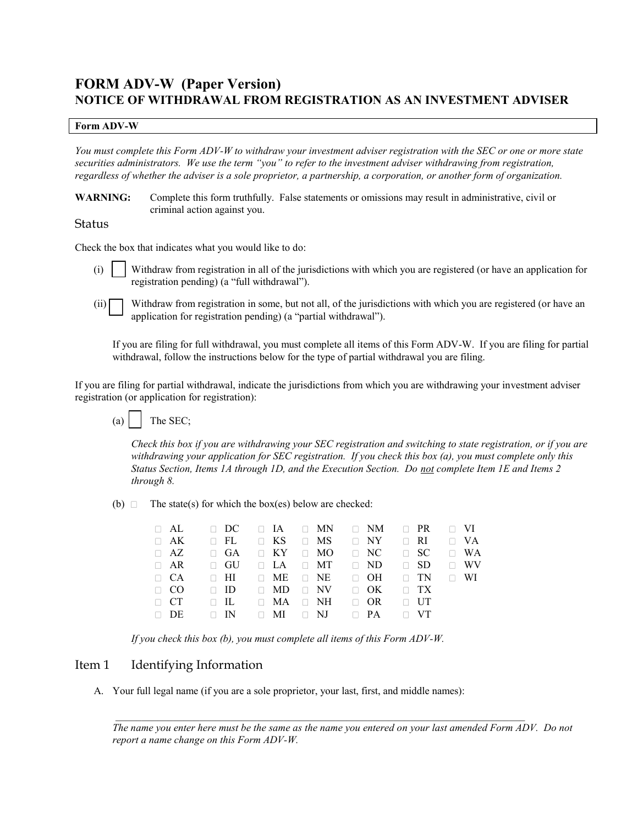## **FORM ADV-W (Paper Version) NOTICE OF WITHDRAWAL FROM REGISTRATION AS AN INVESTMENT ADVISER**

#### **Form ADV-W**

*You must complete this Form ADV-W to withdraw your investment adviser registration with the SEC or one or more state securities administrators. We use the term "you" to refer to the investment adviser withdrawing from registration, regardless of whether the adviser is a sole proprietor, a partnership, a corporation, or another form of organization.* 

**WARNING:** Complete this form truthfully. False statements or omissions may result in administrative, civil or criminal action against you.

### Status

Check the box that indicates what you would like to do:

(i)  $\parallel$  Withdraw from registration in all of the jurisdictions with which you are registered (or have an application for registration pending) (a "full withdrawal").

 $(i)$  Withdraw from registration in some, but not all, of the jurisdictions with which you are registered (or have an application for registration pending) (a "partial withdrawal").

If you are filing for full withdrawal, you must complete all items of this Form ADV-W. If you are filing for partial withdrawal, follow the instructions below for the type of partial withdrawal you are filing.

If you are filing for partial withdrawal, indicate the jurisdictions from which you are withdrawing your investment adviser registration (or application for registration):



*Check this box if you are withdrawing your SEC registration and switching to state registration, or if you are withdrawing your application for SEC registration. If you check this box (a), you must complete only this Status Section, Items 1A through 1D, and the Execution Section. Do not complete Item 1E and Items 2 through 8.* 

(b)  $\Box$  The state(s) for which the box(es) below are checked:

|           |  | $\Box$ AL $\Box$ DC $\Box$ IA $\Box$ MN $\Box$ NM $\Box$ PR $\Box$ VI |  |  |
|-----------|--|-----------------------------------------------------------------------|--|--|
|           |  | $\Box$ AK $\Box$ FL $\Box$ KS $\Box$ MS $\Box$ NY $\Box$ RI $\Box$ VA |  |  |
|           |  | $\Box$ AZ $\Box$ GA $\Box$ KY $\Box$ MO $\Box$ NC $\Box$ SC $\Box$ WA |  |  |
|           |  | $\Box$ AR $\Box$ GU $\Box$ LA $\Box$ MT $\Box$ ND $\Box$ SD $\Box$ WV |  |  |
|           |  | $\Box$ CA $\Box$ HI $\Box$ ME $\Box$ NE $\Box$ OH $\Box$ TN $\Box$ WI |  |  |
|           |  | $\Box$ CO $\Box$ ID $\Box$ MD $\Box$ NV $\Box$ OK $\Box$ TX           |  |  |
| $\Box$ CT |  | $\Box$ IL $\Box$ MA $\Box$ NH $\Box$ OR $\Box$ UT                     |  |  |
|           |  | $\Box$ DE $\Box$ IN $\Box$ MI $\Box$ NJ $\Box$ PA $\Box$ VT           |  |  |

*If you check this box (b), you must complete all items of this Form ADV-W.*

## Item 1 Identifying Information

A. Your full legal name (if you are a sole proprietor, your last, first, and middle names):

 $\mathcal{L}_\mathcal{L} = \mathcal{L}_\mathcal{L}$  , where  $\mathcal{L}_\mathcal{L} = \mathcal{L}_\mathcal{L}$  , where  $\mathcal{L}_\mathcal{L} = \mathcal{L}_\mathcal{L}$  , where  $\mathcal{L}_\mathcal{L} = \mathcal{L}_\mathcal{L}$ 

*The name you enter here must be the same as the name you entered on your last amended Form ADV. Do not report a name change on this Form ADV-W.*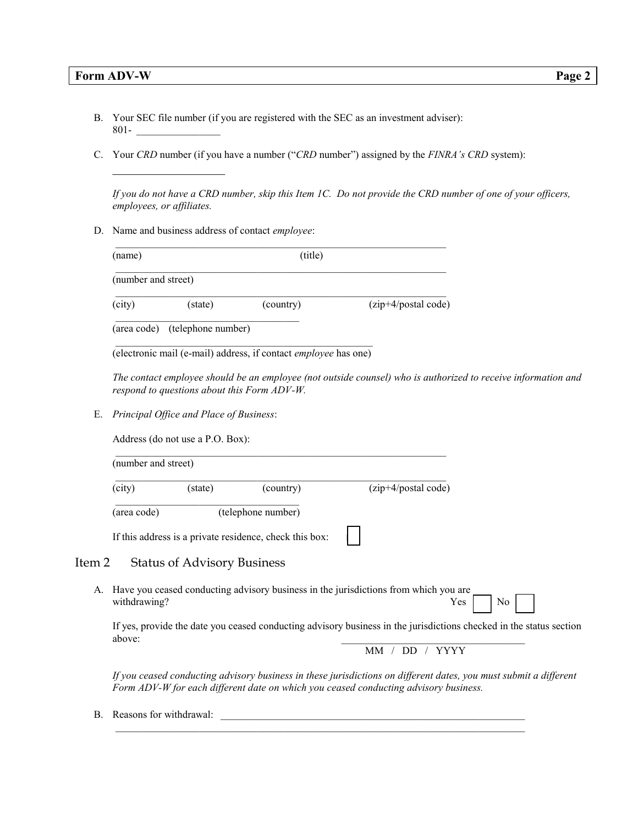\_\_\_\_\_\_\_\_\_\_\_\_\_\_\_\_\_\_

- B. Your SEC file number (if you are registered with the SEC as an investment adviser):  $801 -$
- C. Your *CRD* number (if you have a number ("*CRD* number") assigned by the *FINRA's CRD* system):

*If you do not have a CRD number, skip this Item 1C. Do not provide the CRD number of one of your officers, employees, or affiliates.* 

D. Name and business address of contact *employee*:

| (name)              |         | (title)   |                     |
|---------------------|---------|-----------|---------------------|
| (number and street) |         |           |                     |
| (city)              | (state) | (country) | (zip+4/postal code) |
|                     |         |           |                     |

 $\mathcal{L}=\mathcal{L}=\mathcal{L}=\mathcal{L}=\mathcal{L}=\mathcal{L}=\mathcal{L}=\mathcal{L}=\mathcal{L}=\mathcal{L}=\mathcal{L}=\mathcal{L}=\mathcal{L}=\mathcal{L}=\mathcal{L}=\mathcal{L}=\mathcal{L}=\mathcal{L}=\mathcal{L}=\mathcal{L}=\mathcal{L}=\mathcal{L}=\mathcal{L}=\mathcal{L}=\mathcal{L}=\mathcal{L}=\mathcal{L}=\mathcal{L}=\mathcal{L}=\mathcal{L}=\mathcal{L}=\mathcal{L}=\mathcal{L}=\mathcal{L}=\mathcal{L}=\mathcal{L}=\mathcal{$ (electronic mail (e-mail) address, if contact *employee* has one)

*The contact employee should be an employee (not outside counsel) who is authorized to receive information and respond to questions about this Form ADV-W.*

E. *Principal Office and Place of Business*:

| (number and street) |                                    |                                                         |                                                                                      |
|---------------------|------------------------------------|---------------------------------------------------------|--------------------------------------------------------------------------------------|
| (city)              | (state)                            | (country)                                               | (zip+4/postal code)                                                                  |
| (area code)         |                                    | (telephone number)                                      |                                                                                      |
|                     |                                    | If this address is a private residence, check this box: |                                                                                      |
| Item 2              | <b>Status of Advisory Business</b> |                                                         |                                                                                      |
| А.<br>withdrawing?  |                                    |                                                         | Have you ceased conducting advisory business in the jurisdictions from which you are |

 If yes, provide the date you ceased conducting advisory business in the jurisdictions checked in the status section above:

MM / DD / YYYY

*If you ceased conducting advisory business in these jurisdictions on different dates, you must submit a different Form ADV-W for each different date on which you ceased conducting advisory business.* 

 $\mathcal{L} = \frac{1}{2} \sum_{i=1}^{n} \frac{1}{2} \sum_{j=1}^{n} \frac{1}{2} \sum_{j=1}^{n} \frac{1}{2} \sum_{j=1}^{n} \frac{1}{2} \sum_{j=1}^{n} \frac{1}{2} \sum_{j=1}^{n} \frac{1}{2} \sum_{j=1}^{n} \frac{1}{2} \sum_{j=1}^{n} \frac{1}{2} \sum_{j=1}^{n} \frac{1}{2} \sum_{j=1}^{n} \frac{1}{2} \sum_{j=1}^{n} \frac{1}{2} \sum_{j=1}^{n} \frac{1}{2} \sum$ 

B. Reasons for withdrawal: \_\_\_\_\_\_\_\_\_\_\_\_\_\_\_\_\_\_\_\_\_\_\_\_\_\_\_\_\_\_\_\_\_\_\_\_\_\_\_\_\_\_\_\_\_\_\_\_\_\_\_\_\_\_\_\_\_\_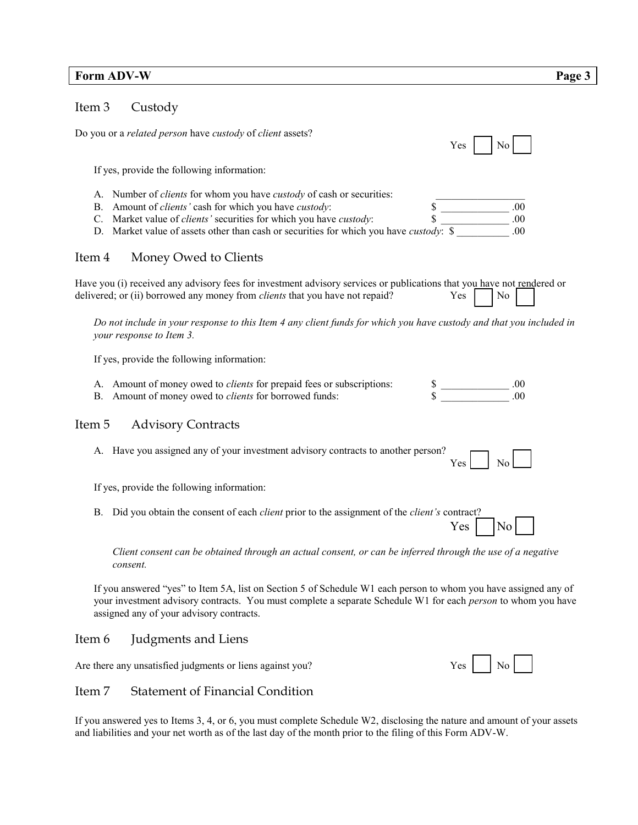## **Form ADV-W** Page 3

## Item 3 Custody

| Do you or a related person have custody of client assets?<br>Yes                                                                                                                                                                                                                                                                                    |                       |  |  |  |
|-----------------------------------------------------------------------------------------------------------------------------------------------------------------------------------------------------------------------------------------------------------------------------------------------------------------------------------------------------|-----------------------|--|--|--|
| If yes, provide the following information:                                                                                                                                                                                                                                                                                                          |                       |  |  |  |
| A. Number of <i>clients</i> for whom you have <i>custody</i> of cash or securities:<br>B. Amount of <i>clients'</i> cash for which you have <i>custody</i> :<br>C. Market value of <i>clients'</i> securities for which you have <i>custody</i> :<br>D. Market value of assets other than cash or securities for which you have <i>custody</i> : \$ | .00<br>.00<br>.00     |  |  |  |
| Money Owed to Clients<br>Item 4                                                                                                                                                                                                                                                                                                                     |                       |  |  |  |
| Have you (i) received any advisory fees for investment advisory services or publications that you have not rendered or<br>delivered; or (ii) borrowed any money from <i>clients</i> that you have not repaid?<br>Yes                                                                                                                                | N <sub>0</sub>        |  |  |  |
| Do not include in your response to this Item 4 any client funds for which you have custody and that you included in<br>your response to Item 3.                                                                                                                                                                                                     |                       |  |  |  |
| If yes, provide the following information:                                                                                                                                                                                                                                                                                                          |                       |  |  |  |
| A. Amount of money owed to <i>clients</i> for prepaid fees or subscriptions:<br>B. Amount of money owed to <i>clients</i> for borrowed funds:                                                                                                                                                                                                       |                       |  |  |  |
| Item 5<br><b>Advisory Contracts</b>                                                                                                                                                                                                                                                                                                                 |                       |  |  |  |
| A. Have you assigned any of your investment advisory contracts to another person?<br>Yes                                                                                                                                                                                                                                                            | N <sub>0</sub>        |  |  |  |
| If yes, provide the following information:                                                                                                                                                                                                                                                                                                          |                       |  |  |  |
| Did you obtain the consent of each <i>client</i> prior to the assignment of the <i>client's</i> contract?<br>B.                                                                                                                                                                                                                                     | Yes<br>N <sub>0</sub> |  |  |  |
| Client consent can be obtained through an actual consent, or can be inferred through the use of a negative<br>consent.                                                                                                                                                                                                                              |                       |  |  |  |

If you answered "yes" to Item 5A, list on Section 5 of Schedule W1 each person to whom you have assigned any of your investment advisory contracts. You must complete a separate Schedule W1 for each *person* to whom you have assigned any of your advisory contracts.

## Item 6 Judgments and Liens

Are there any unsatisfied judgments or liens against you? Yes No

Item 7 Statement of Financial Condition

## If you answered yes to Items 3, 4, or 6, you must complete Schedule W2, disclosing the nature and amount of your assets and liabilities and your net worth as of the last day of the month prior to the filing of this Form ADV-W.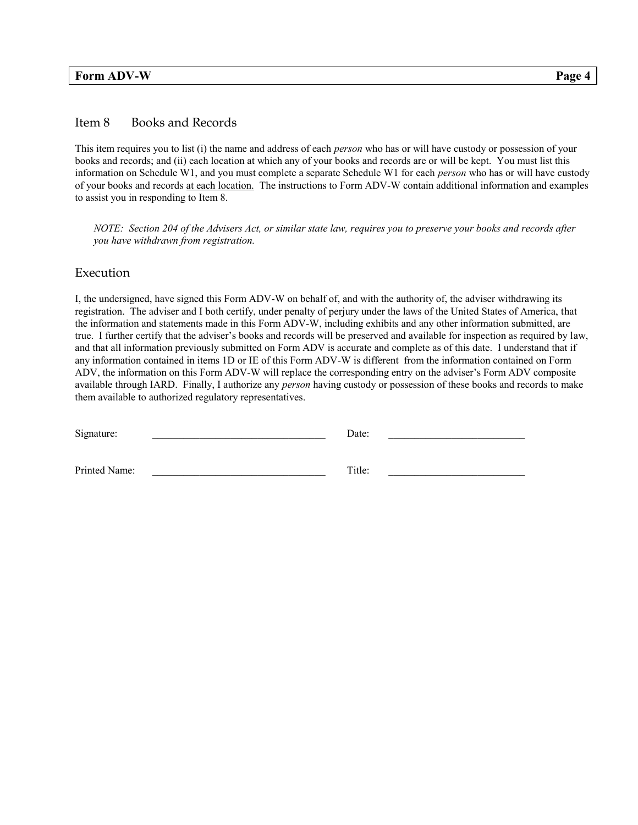## **Form ADV-W** Page 4

## Item 8 Books and Records

This item requires you to list (i) the name and address of each *person* who has or will have custody or possession of your books and records; and (ii) each location at which any of your books and records are or will be kept. You must list this information on Schedule W1, and you must complete a separate Schedule W1 for each *person* who has or will have custody of your books and records at each location. The instructions to Form ADV-W contain additional information and examples to assist you in responding to Item 8.

*NOTE: Section 204 of the Advisers Act, or similar state law, requires you to preserve your books and records after you have withdrawn from registration.* 

#### Execution

I, the undersigned, have signed this Form ADV-W on behalf of, and with the authority of, the adviser withdrawing its registration. The adviser and I both certify, under penalty of perjury under the laws of the United States of America, that the information and statements made in this Form ADV-W, including exhibits and any other information submitted, are true. I further certify that the adviser's books and records will be preserved and available for inspection as required by law, and that all information previously submitted on Form ADV is accurate and complete as of this date. I understand that if any information contained in items 1D or IE of this Form ADV-W is different from the information contained on Form ADV, the information on this Form ADV-W will replace the corresponding entry on the adviser's Form ADV composite available through IARD. Finally, I authorize any *person* having custody or possession of these books and records to make them available to authorized regulatory representatives.

| Signature:    | Date:  |  |
|---------------|--------|--|
|               |        |  |
| Printed Name: | Title: |  |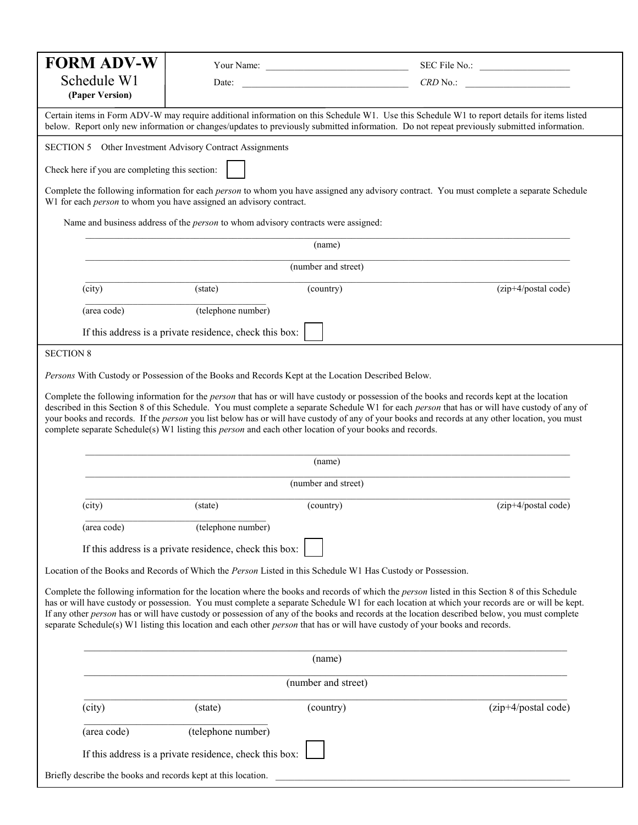| <b>FORM ADV-W</b>                                                                                                                                                                                                                                                                                                                                                                                                                                                                                                                                                                             |                                                                                                                                                                                                                                                                                                                                                                                                                                                                                                                                                                                    |                     |                     |  |  |  |
|-----------------------------------------------------------------------------------------------------------------------------------------------------------------------------------------------------------------------------------------------------------------------------------------------------------------------------------------------------------------------------------------------------------------------------------------------------------------------------------------------------------------------------------------------------------------------------------------------|------------------------------------------------------------------------------------------------------------------------------------------------------------------------------------------------------------------------------------------------------------------------------------------------------------------------------------------------------------------------------------------------------------------------------------------------------------------------------------------------------------------------------------------------------------------------------------|---------------------|---------------------|--|--|--|
| Schedule W1                                                                                                                                                                                                                                                                                                                                                                                                                                                                                                                                                                                   |                                                                                                                                                                                                                                                                                                                                                                                                                                                                                                                                                                                    |                     | Date: $CRD No.:$    |  |  |  |
| (Paper Version)                                                                                                                                                                                                                                                                                                                                                                                                                                                                                                                                                                               |                                                                                                                                                                                                                                                                                                                                                                                                                                                                                                                                                                                    |                     |                     |  |  |  |
| Certain items in Form ADV-W may require additional information on this Schedule W1. Use this Schedule W1 to report details for items listed<br>below. Report only new information or changes/updates to previously submitted information. Do not repeat previously submitted information.                                                                                                                                                                                                                                                                                                     |                                                                                                                                                                                                                                                                                                                                                                                                                                                                                                                                                                                    |                     |                     |  |  |  |
| SECTION 5 Other Investment Advisory Contract Assignments                                                                                                                                                                                                                                                                                                                                                                                                                                                                                                                                      |                                                                                                                                                                                                                                                                                                                                                                                                                                                                                                                                                                                    |                     |                     |  |  |  |
| Check here if you are completing this section:                                                                                                                                                                                                                                                                                                                                                                                                                                                                                                                                                |                                                                                                                                                                                                                                                                                                                                                                                                                                                                                                                                                                                    |                     |                     |  |  |  |
| Complete the following information for each <i>person</i> to whom you have assigned any advisory contract. You must complete a separate Schedule<br>W1 for each <i>person</i> to whom you have assigned an advisory contract.                                                                                                                                                                                                                                                                                                                                                                 |                                                                                                                                                                                                                                                                                                                                                                                                                                                                                                                                                                                    |                     |                     |  |  |  |
|                                                                                                                                                                                                                                                                                                                                                                                                                                                                                                                                                                                               | Name and business address of the <i>person</i> to whom advisory contracts were assigned:                                                                                                                                                                                                                                                                                                                                                                                                                                                                                           |                     |                     |  |  |  |
|                                                                                                                                                                                                                                                                                                                                                                                                                                                                                                                                                                                               |                                                                                                                                                                                                                                                                                                                                                                                                                                                                                                                                                                                    | (name)              |                     |  |  |  |
|                                                                                                                                                                                                                                                                                                                                                                                                                                                                                                                                                                                               |                                                                                                                                                                                                                                                                                                                                                                                                                                                                                                                                                                                    | (number and street) |                     |  |  |  |
| (city)                                                                                                                                                                                                                                                                                                                                                                                                                                                                                                                                                                                        | (state)                                                                                                                                                                                                                                                                                                                                                                                                                                                                                                                                                                            | (country)           | (zip+4/postal code) |  |  |  |
| (area code)                                                                                                                                                                                                                                                                                                                                                                                                                                                                                                                                                                                   | (telephone number)                                                                                                                                                                                                                                                                                                                                                                                                                                                                                                                                                                 |                     |                     |  |  |  |
|                                                                                                                                                                                                                                                                                                                                                                                                                                                                                                                                                                                               | If this address is a private residence, check this box:                                                                                                                                                                                                                                                                                                                                                                                                                                                                                                                            |                     |                     |  |  |  |
| <b>SECTION 8</b>                                                                                                                                                                                                                                                                                                                                                                                                                                                                                                                                                                              |                                                                                                                                                                                                                                                                                                                                                                                                                                                                                                                                                                                    |                     |                     |  |  |  |
| Persons With Custody or Possession of the Books and Records Kept at the Location Described Below.                                                                                                                                                                                                                                                                                                                                                                                                                                                                                             |                                                                                                                                                                                                                                                                                                                                                                                                                                                                                                                                                                                    |                     |                     |  |  |  |
|                                                                                                                                                                                                                                                                                                                                                                                                                                                                                                                                                                                               | Complete the following information for the <i>person</i> that has or will have custody or possession of the books and records kept at the location<br>described in this Section 8 of this Schedule. You must complete a separate Schedule W1 for each person that has or will have custody of any of<br>your books and records. If the person you list below has or will have custody of any of your books and records at any other location, you must<br>complete separate Schedule(s) W1 listing this <i>person</i> and each other location of your books and records.<br>(name) |                     |                     |  |  |  |
|                                                                                                                                                                                                                                                                                                                                                                                                                                                                                                                                                                                               |                                                                                                                                                                                                                                                                                                                                                                                                                                                                                                                                                                                    | (number and street) |                     |  |  |  |
| (city)                                                                                                                                                                                                                                                                                                                                                                                                                                                                                                                                                                                        | (state)                                                                                                                                                                                                                                                                                                                                                                                                                                                                                                                                                                            | (country)           | (zip+4/postal code) |  |  |  |
| (area code)                                                                                                                                                                                                                                                                                                                                                                                                                                                                                                                                                                                   | (telephone number)                                                                                                                                                                                                                                                                                                                                                                                                                                                                                                                                                                 |                     |                     |  |  |  |
|                                                                                                                                                                                                                                                                                                                                                                                                                                                                                                                                                                                               | If this address is a private residence, check this box:                                                                                                                                                                                                                                                                                                                                                                                                                                                                                                                            |                     |                     |  |  |  |
| Location of the Books and Records of Which the Person Listed in this Schedule W1 Has Custody or Possession.                                                                                                                                                                                                                                                                                                                                                                                                                                                                                   |                                                                                                                                                                                                                                                                                                                                                                                                                                                                                                                                                                                    |                     |                     |  |  |  |
| Complete the following information for the location where the books and records of which the <i>person</i> listed in this Section 8 of this Schedule<br>has or will have custody or possession. You must complete a separate Schedule W1 for each location at which your records are or will be kept.<br>If any other person has or will have custody or possession of any of the books and records at the location described below, you must complete<br>separate Schedule(s) W1 listing this location and each other <i>person</i> that has or will have custody of your books and records. |                                                                                                                                                                                                                                                                                                                                                                                                                                                                                                                                                                                    |                     |                     |  |  |  |
| (name)                                                                                                                                                                                                                                                                                                                                                                                                                                                                                                                                                                                        |                                                                                                                                                                                                                                                                                                                                                                                                                                                                                                                                                                                    |                     |                     |  |  |  |
| (number and street)                                                                                                                                                                                                                                                                                                                                                                                                                                                                                                                                                                           |                                                                                                                                                                                                                                                                                                                                                                                                                                                                                                                                                                                    |                     |                     |  |  |  |
| (city)                                                                                                                                                                                                                                                                                                                                                                                                                                                                                                                                                                                        | (state)                                                                                                                                                                                                                                                                                                                                                                                                                                                                                                                                                                            | (country)           | (zip+4/postal code) |  |  |  |
| (area code)                                                                                                                                                                                                                                                                                                                                                                                                                                                                                                                                                                                   | (telephone number)                                                                                                                                                                                                                                                                                                                                                                                                                                                                                                                                                                 |                     |                     |  |  |  |
|                                                                                                                                                                                                                                                                                                                                                                                                                                                                                                                                                                                               | If this address is a private residence, check this box:                                                                                                                                                                                                                                                                                                                                                                                                                                                                                                                            |                     |                     |  |  |  |
| Briefly describe the books and records kept at this location.                                                                                                                                                                                                                                                                                                                                                                                                                                                                                                                                 |                                                                                                                                                                                                                                                                                                                                                                                                                                                                                                                                                                                    |                     |                     |  |  |  |